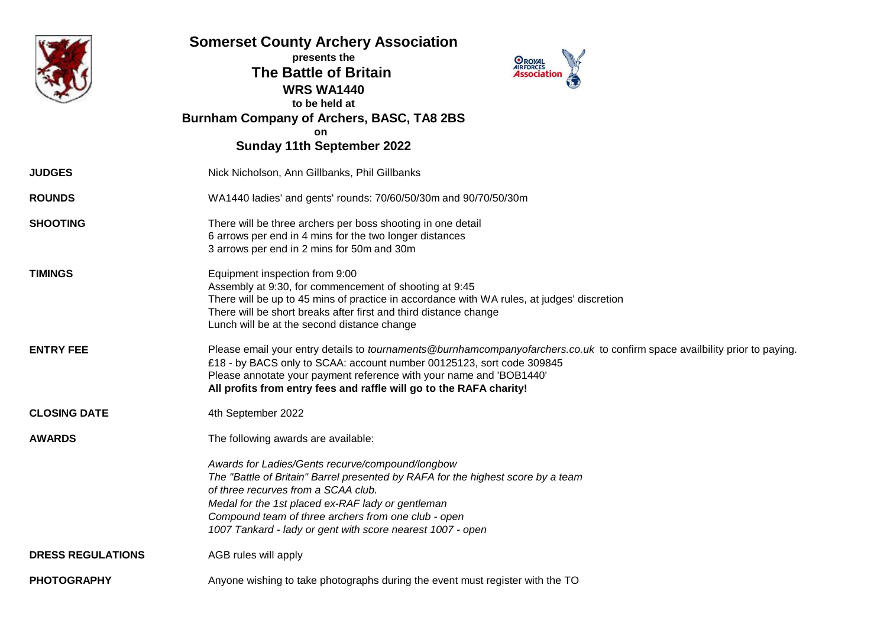|                          | <b>Somerset County Archery Association</b><br>presents the<br><b>OROYAL</b><br><b>AIRFORCES</b><br><b>The Battle of Britain</b><br><b>WRS WA1440</b><br>to be held at<br><b>Burnham Company of Archers, BASC, TA8 2BS</b><br>on<br><b>Sunday 11th September 2022</b>                                                                                      |  |  |  |  |  |  |  |
|--------------------------|-----------------------------------------------------------------------------------------------------------------------------------------------------------------------------------------------------------------------------------------------------------------------------------------------------------------------------------------------------------|--|--|--|--|--|--|--|
| <b>JUDGES</b>            | Nick Nicholson, Ann Gillbanks, Phil Gillbanks                                                                                                                                                                                                                                                                                                             |  |  |  |  |  |  |  |
| <b>ROUNDS</b>            | WA1440 ladies' and gents' rounds: 70/60/50/30m and 90/70/50/30m                                                                                                                                                                                                                                                                                           |  |  |  |  |  |  |  |
| <b>SHOOTING</b>          | There will be three archers per boss shooting in one detail<br>6 arrows per end in 4 mins for the two longer distances<br>3 arrows per end in 2 mins for 50m and 30m                                                                                                                                                                                      |  |  |  |  |  |  |  |
| <b>TIMINGS</b>           | Equipment inspection from 9:00<br>Assembly at 9:30, for commencement of shooting at 9:45<br>There will be up to 45 mins of practice in accordance with WA rules, at judges' discretion<br>There will be short breaks after first and third distance change<br>Lunch will be at the second distance change                                                 |  |  |  |  |  |  |  |
| <b>ENTRY FEE</b>         | Please email your entry details to <i>tournaments</i> @burnhamcompanyofarchers.co.uk to confirm space availbility prior to paying.<br>£18 - by BACS only to SCAA: account number 00125123, sort code 309845<br>Please annotate your payment reference with your name and 'BOB1440'<br>All profits from entry fees and raffle will go to the RAFA charity! |  |  |  |  |  |  |  |
| <b>CLOSING DATE</b>      | 4th September 2022                                                                                                                                                                                                                                                                                                                                        |  |  |  |  |  |  |  |
| <b>AWARDS</b>            | The following awards are available:                                                                                                                                                                                                                                                                                                                       |  |  |  |  |  |  |  |
|                          | Awards for Ladies/Gents recurve/compound/longbow<br>The "Battle of Britain" Barrel presented by RAFA for the highest score by a team<br>of three recurves from a SCAA club.<br>Medal for the 1st placed ex-RAF lady or gentleman<br>Compound team of three archers from one club - open<br>1007 Tankard - lady or gent with score nearest 1007 - open     |  |  |  |  |  |  |  |
| <b>DRESS REGULATIONS</b> | AGB rules will apply                                                                                                                                                                                                                                                                                                                                      |  |  |  |  |  |  |  |
| <b>PHOTOGRAPHY</b>       | Anyone wishing to take photographs during the event must register with the TO                                                                                                                                                                                                                                                                             |  |  |  |  |  |  |  |